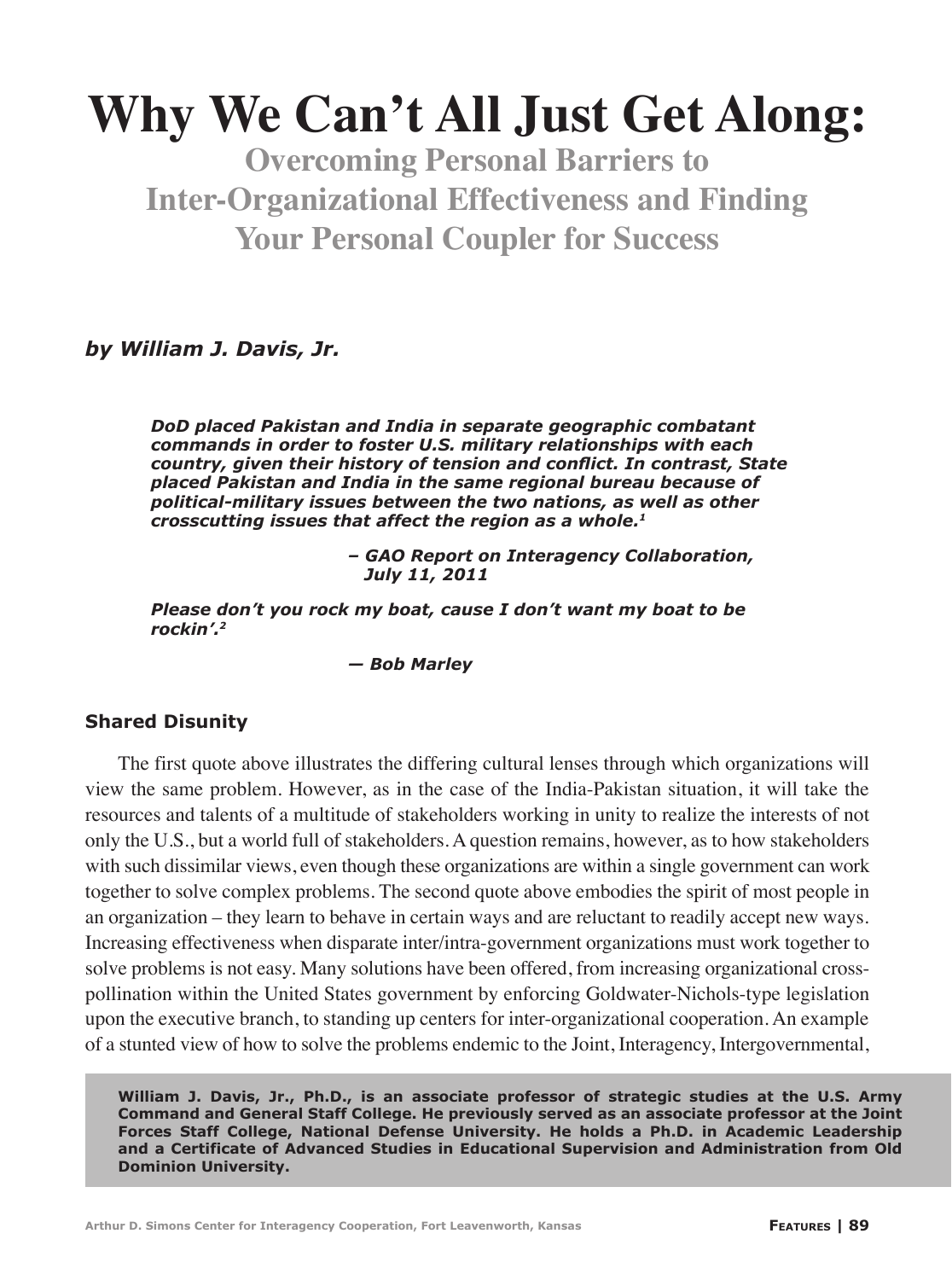# **Why We Can't All Just Get Along:**

**Overcoming Personal Barriers to Inter-Organizational Effectiveness and Finding Your Personal Coupler for Success**

*by William J. Davis, Jr.*

*DoD placed Pakistan and India in separate geographic combatant commands in order to foster U.S. military relationships with each country, given their history of tension and conflict. In contrast, State placed Pakistan and India in the same regional bureau because of political-military issues between the two nations, as well as other crosscutting issues that affect the region as a whole.1*

> *– GAO Report on Interagency Collaboration, July 11, 2011*

*Please don't you rock my boat, cause I don't want my boat to be rockin'.2*

 *— Bob Marley*

#### **Shared Disunity**

The first quote above illustrates the differing cultural lenses through which organizations will view the same problem. However, as in the case of the India-Pakistan situation, it will take the resources and talents of a multitude of stakeholders working in unity to realize the interests of not only the U.S., but a world full of stakeholders. A question remains, however, as to how stakeholders with such dissimilar views, even though these organizations are within a single government can work together to solve complex problems. The second quote above embodies the spirit of most people in an organization – they learn to behave in certain ways and are reluctant to readily accept new ways. Increasing effectiveness when disparate inter/intra-government organizations must work together to solve problems is not easy. Many solutions have been offered, from increasing organizational crosspollination within the United States government by enforcing Goldwater-Nichols-type legislation upon the executive branch, to standing up centers for inter-organizational cooperation. An example of a stunted view of how to solve the problems endemic to the Joint, Interagency, Intergovernmental,

**William J. Davis, Jr., Ph.D., is an associate professor of strategic studies at the U.S. Army Command and General Staff College. He previously served as an associate professor at the Joint Forces Staff College, National Defense University. He holds a Ph.D. in Academic Leadership and a Certificate of Advanced Studies in Educational Supervision and Administration from Old Dominion University.**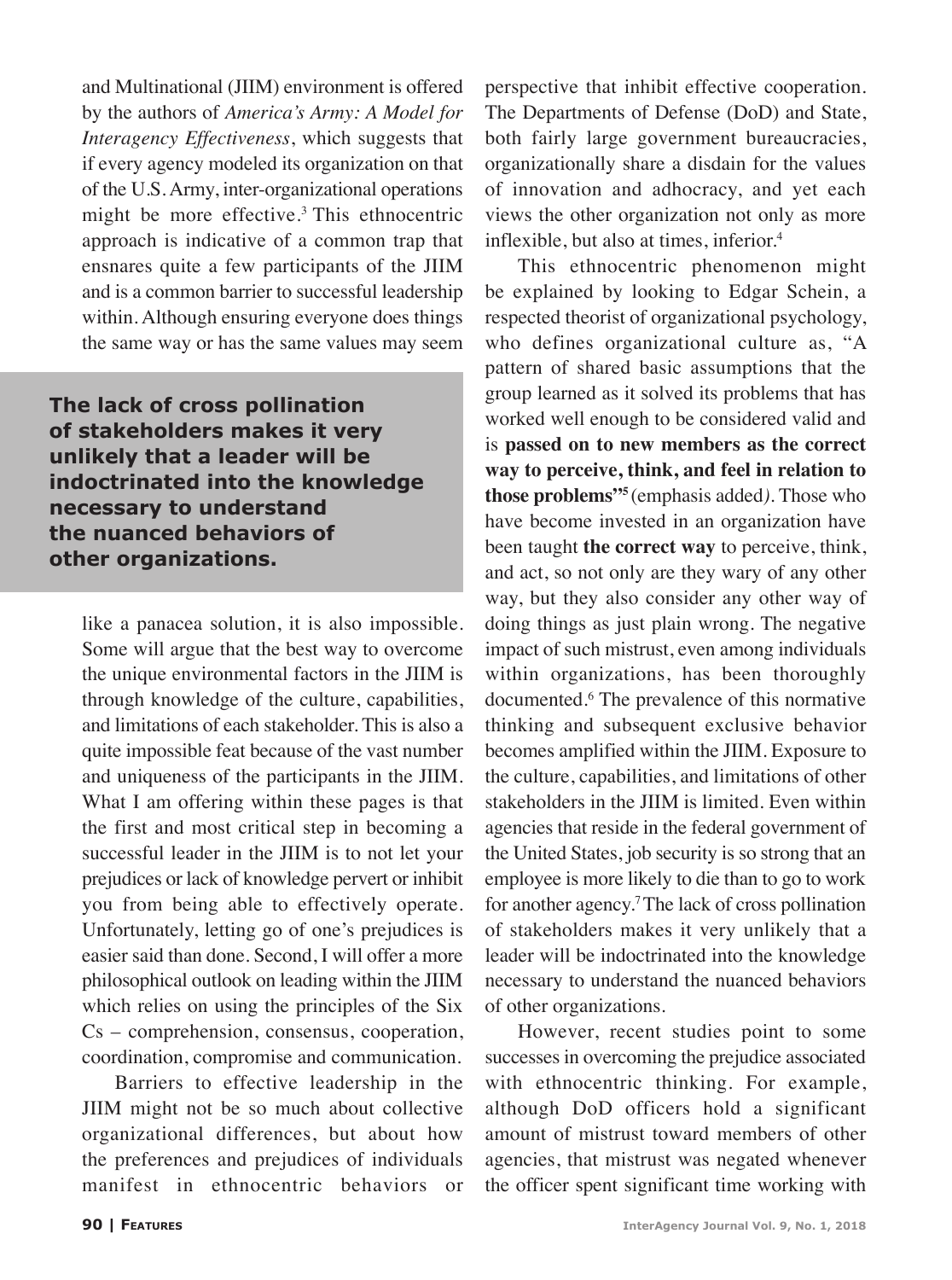and Multinational (JIIM) environment is offered by the authors of *America's Army: A Model for Interagency Effectiveness*, which suggests that if every agency modeled its organization on that of the U.S. Army, inter-organizational operations might be more effective.3 This ethnocentric approach is indicative of a common trap that ensnares quite a few participants of the JIIM and is a common barrier to successful leadership within. Although ensuring everyone does things the same way or has the same values may seem

**The lack of cross pollination of stakeholders makes it very unlikely that a leader will be indoctrinated into the knowledge necessary to understand the nuanced behaviors of other organizations.**

like a panacea solution, it is also impossible. Some will argue that the best way to overcome the unique environmental factors in the JIIM is through knowledge of the culture, capabilities, and limitations of each stakeholder. This is also a quite impossible feat because of the vast number and uniqueness of the participants in the JIIM. What I am offering within these pages is that the first and most critical step in becoming a successful leader in the JIIM is to not let your prejudices or lack of knowledge pervert or inhibit you from being able to effectively operate. Unfortunately, letting go of one's prejudices is easier said than done. Second, I will offer a more philosophical outlook on leading within the JIIM which relies on using the principles of the Six Cs – comprehension, consensus, cooperation, coordination, compromise and communication.

Barriers to effective leadership in the JIIM might not be so much about collective organizational differences, but about how the preferences and prejudices of individuals manifest in ethnocentric behaviors or

perspective that inhibit effective cooperation. The Departments of Defense (DoD) and State, both fairly large government bureaucracies, organizationally share a disdain for the values of innovation and adhocracy, and yet each views the other organization not only as more inflexible, but also at times, inferior.<sup>4</sup>

This ethnocentric phenomenon might be explained by looking to Edgar Schein, a respected theorist of organizational psychology, who defines organizational culture as, "A pattern of shared basic assumptions that the group learned as it solved its problems that has worked well enough to be considered valid and is **passed on to new members as the correct way to perceive, think, and feel in relation to those problems"5** (emphasis added*)*. Those who have become invested in an organization have been taught **the correct way** to perceive, think, and act, so not only are they wary of any other way, but they also consider any other way of doing things as just plain wrong. The negative impact of such mistrust, even among individuals within organizations, has been thoroughly documented.6 The prevalence of this normative thinking and subsequent exclusive behavior becomes amplified within the JIIM. Exposure to the culture, capabilities, and limitations of other stakeholders in the JIIM is limited. Even within agencies that reside in the federal government of the United States, job security is so strong that an employee is more likely to die than to go to work for another agency.7 The lack of cross pollination of stakeholders makes it very unlikely that a leader will be indoctrinated into the knowledge necessary to understand the nuanced behaviors of other organizations.

However, recent studies point to some successes in overcoming the prejudice associated with ethnocentric thinking. For example, although DoD officers hold a significant amount of mistrust toward members of other agencies, that mistrust was negated whenever the officer spent significant time working with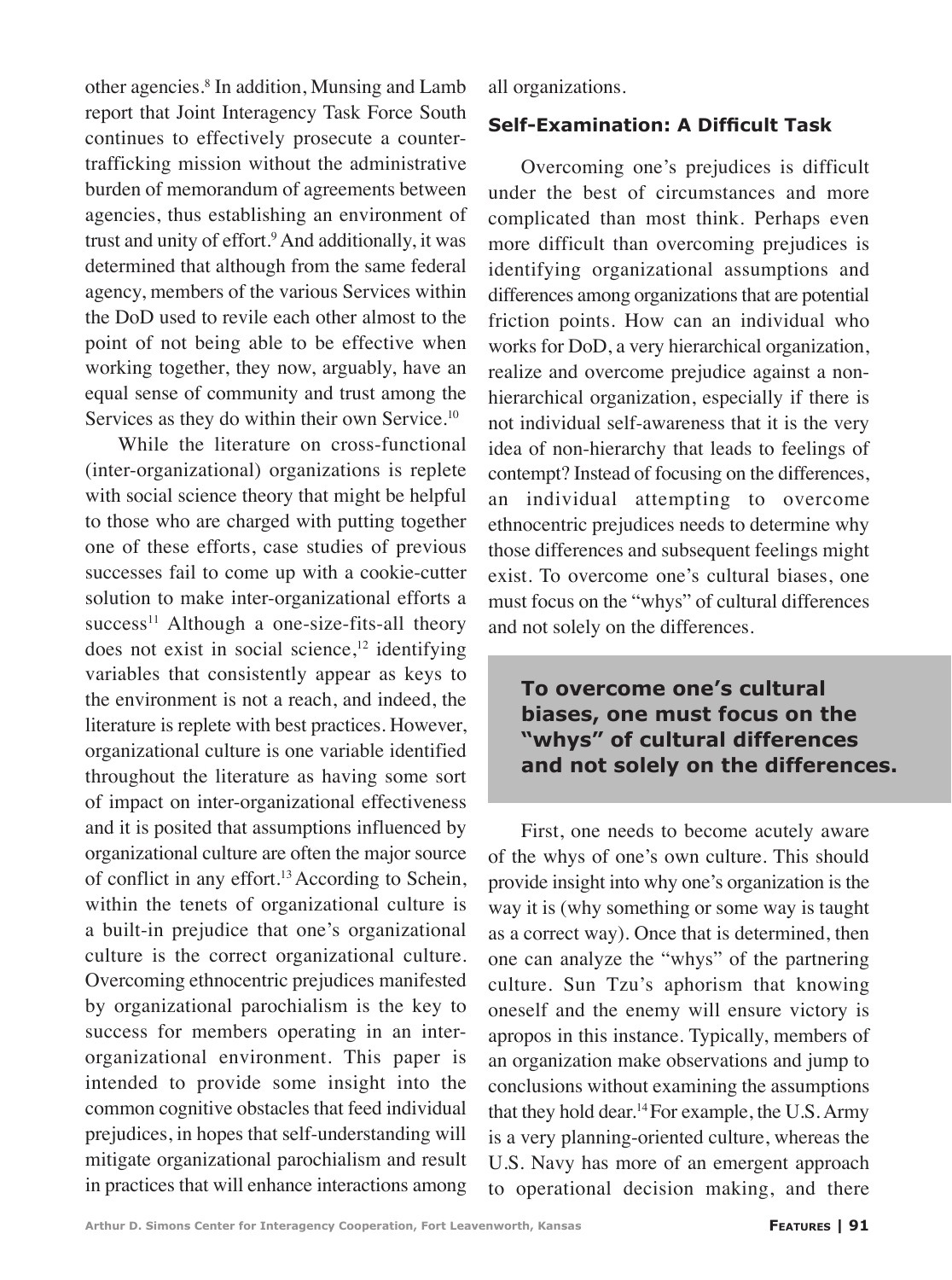other agencies.<sup>8</sup> In addition, Munsing and Lamb report that Joint Interagency Task Force South continues to effectively prosecute a countertrafficking mission without the administrative burden of memorandum of agreements between agencies, thus establishing an environment of trust and unity of effort.<sup>9</sup> And additionally, it was determined that although from the same federal agency, members of the various Services within the DoD used to revile each other almost to the point of not being able to be effective when working together, they now, arguably, have an equal sense of community and trust among the Services as they do within their own Service.<sup>10</sup>

While the literature on cross-functional (inter-organizational) organizations is replete with social science theory that might be helpful to those who are charged with putting together one of these efforts, case studies of previous successes fail to come up with a cookie-cutter solution to make inter-organizational efforts a success<sup>11</sup> Although a one-size-fits-all theory does not exist in social science, $12$  identifying variables that consistently appear as keys to the environment is not a reach, and indeed, the literature is replete with best practices. However, organizational culture is one variable identified throughout the literature as having some sort of impact on inter-organizational effectiveness and it is posited that assumptions influenced by organizational culture are often the major source of conflict in any effort.13 According to Schein, within the tenets of organizational culture is a built-in prejudice that one's organizational culture is the correct organizational culture. Overcoming ethnocentric prejudices manifested by organizational parochialism is the key to success for members operating in an interorganizational environment. This paper is intended to provide some insight into the common cognitive obstacles that feed individual prejudices, in hopes that self-understanding will mitigate organizational parochialism and result in practices that will enhance interactions among

all organizations.

#### **Self-Examination: A Difficult Task**

Overcoming one's prejudices is difficult under the best of circumstances and more complicated than most think. Perhaps even more difficult than overcoming prejudices is identifying organizational assumptions and differences among organizations that are potential friction points. How can an individual who works for DoD, a very hierarchical organization, realize and overcome prejudice against a nonhierarchical organization, especially if there is not individual self-awareness that it is the very idea of non-hierarchy that leads to feelings of contempt? Instead of focusing on the differences, an individual attempting to overcome ethnocentric prejudices needs to determine why those differences and subsequent feelings might exist. To overcome one's cultural biases, one must focus on the "whys" of cultural differences and not solely on the differences.

**To overcome one's cultural biases, one must focus on the "whys" of cultural differences and not solely on the differences.**

First, one needs to become acutely aware of the whys of one's own culture. This should provide insight into why one's organization is the way it is (why something or some way is taught as a correct way). Once that is determined, then one can analyze the "whys" of the partnering culture. Sun Tzu's aphorism that knowing oneself and the enemy will ensure victory is apropos in this instance. Typically, members of an organization make observations and jump to conclusions without examining the assumptions that they hold dear.14 For example, the U.S. Army is a very planning-oriented culture, whereas the U.S. Navy has more of an emergent approach to operational decision making, and there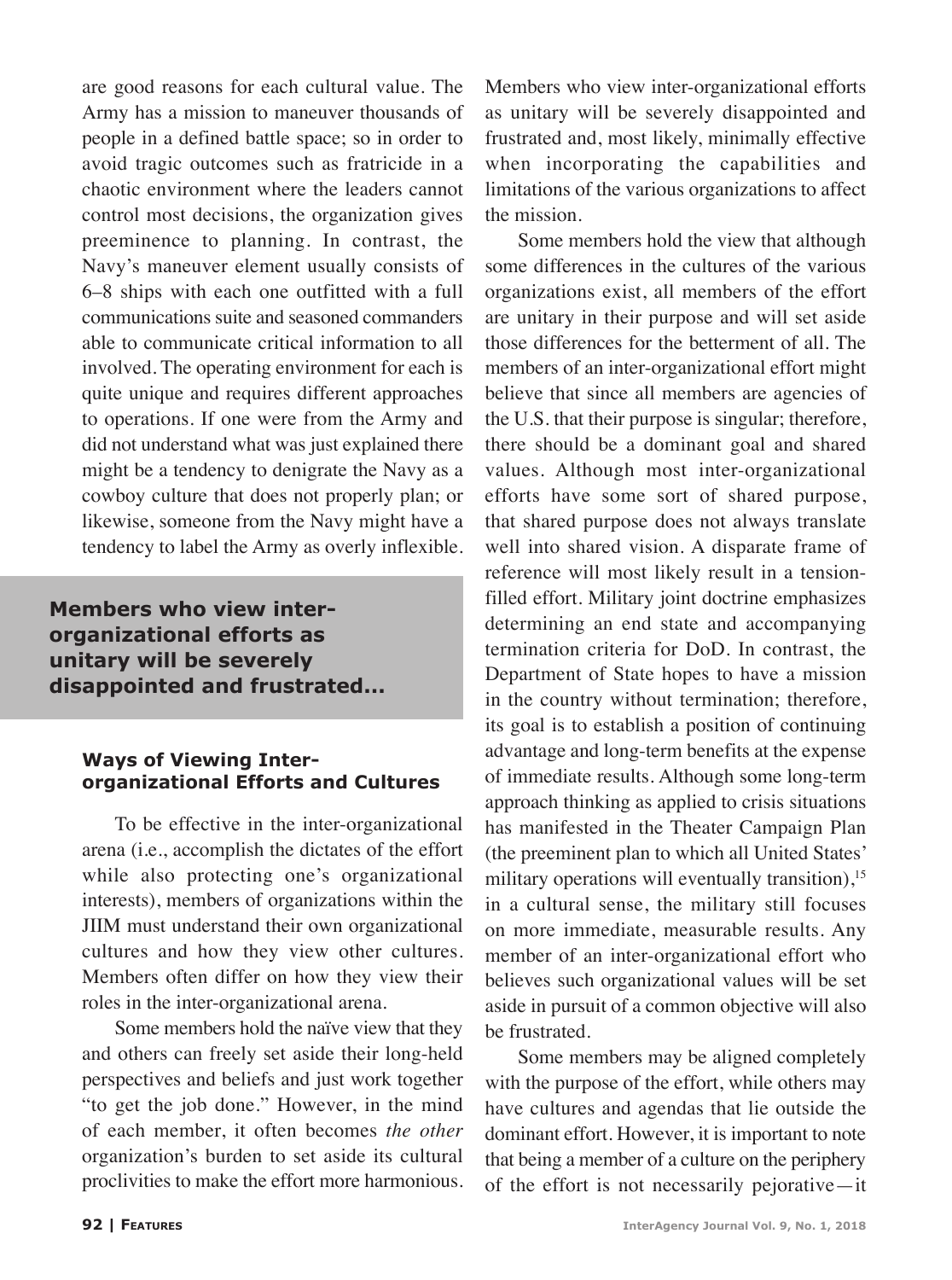are good reasons for each cultural value. The Army has a mission to maneuver thousands of people in a defined battle space; so in order to avoid tragic outcomes such as fratricide in a chaotic environment where the leaders cannot control most decisions, the organization gives preeminence to planning. In contrast, the Navy's maneuver element usually consists of 6–8 ships with each one outfitted with a full communications suite and seasoned commanders able to communicate critical information to all involved. The operating environment for each is quite unique and requires different approaches to operations. If one were from the Army and did not understand what was just explained there might be a tendency to denigrate the Navy as a cowboy culture that does not properly plan; or likewise, someone from the Navy might have a tendency to label the Army as overly inflexible.

**Members who view interorganizational efforts as unitary will be severely disappointed and frustrated...**

#### **Ways of Viewing Interorganizational Efforts and Cultures**

To be effective in the inter-organizational arena (i.e., accomplish the dictates of the effort while also protecting one's organizational interests), members of organizations within the JIIM must understand their own organizational cultures and how they view other cultures. Members often differ on how they view their roles in the inter-organizational arena.

Some members hold the naïve view that they and others can freely set aside their long-held perspectives and beliefs and just work together "to get the job done." However, in the mind of each member, it often becomes *the other* organization's burden to set aside its cultural proclivities to make the effort more harmonious.

Members who view inter-organizational efforts as unitary will be severely disappointed and frustrated and, most likely, minimally effective when incorporating the capabilities and limitations of the various organizations to affect the mission.

Some members hold the view that although some differences in the cultures of the various organizations exist, all members of the effort are unitary in their purpose and will set aside those differences for the betterment of all. The members of an inter-organizational effort might believe that since all members are agencies of the U.S. that their purpose is singular; therefore, there should be a dominant goal and shared values. Although most inter-organizational efforts have some sort of shared purpose, that shared purpose does not always translate well into shared vision. A disparate frame of reference will most likely result in a tensionfilled effort. Military joint doctrine emphasizes determining an end state and accompanying termination criteria for DoD. In contrast, the Department of State hopes to have a mission in the country without termination; therefore, its goal is to establish a position of continuing advantage and long-term benefits at the expense of immediate results. Although some long-term approach thinking as applied to crisis situations has manifested in the Theater Campaign Plan (the preeminent plan to which all United States' military operations will eventually transition),  $15$ in a cultural sense, the military still focuses on more immediate, measurable results. Any member of an inter-organizational effort who believes such organizational values will be set aside in pursuit of a common objective will also be frustrated.

Some members may be aligned completely with the purpose of the effort, while others may have cultures and agendas that lie outside the dominant effort. However, it is important to note that being a member of a culture on the periphery of the effort is not necessarily pejorative—it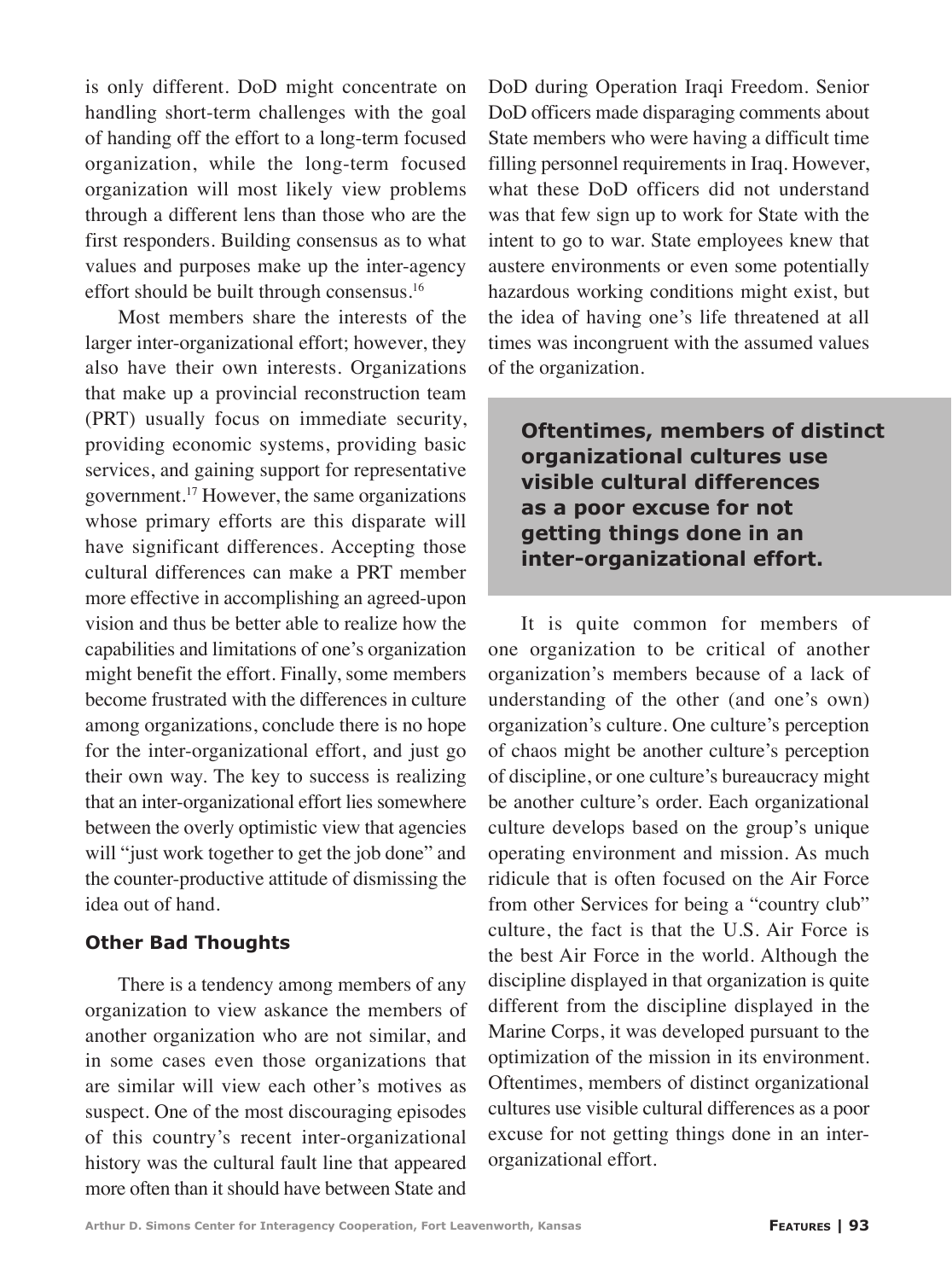is only different. DoD might concentrate on handling short-term challenges with the goal of handing off the effort to a long-term focused organization, while the long-term focused organization will most likely view problems through a different lens than those who are the first responders. Building consensus as to what values and purposes make up the inter-agency effort should be built through consensus.16

Most members share the interests of the larger inter-organizational effort; however, they also have their own interests. Organizations that make up a provincial reconstruction team (PRT) usually focus on immediate security, providing economic systems, providing basic services, and gaining support for representative government.17 However, the same organizations whose primary efforts are this disparate will have significant differences. Accepting those cultural differences can make a PRT member more effective in accomplishing an agreed-upon vision and thus be better able to realize how the capabilities and limitations of one's organization might benefit the effort. Finally, some members become frustrated with the differences in culture among organizations, conclude there is no hope for the inter-organizational effort, and just go their own way. The key to success is realizing that an inter-organizational effort lies somewhere between the overly optimistic view that agencies will "just work together to get the job done" and the counter-productive attitude of dismissing the idea out of hand.

#### **Other Bad Thoughts**

There is a tendency among members of any organization to view askance the members of another organization who are not similar, and in some cases even those organizations that are similar will view each other's motives as suspect. One of the most discouraging episodes of this country's recent inter-organizational history was the cultural fault line that appeared more often than it should have between State and

DoD during Operation Iraqi Freedom. Senior DoD officers made disparaging comments about State members who were having a difficult time filling personnel requirements in Iraq. However, what these DoD officers did not understand was that few sign up to work for State with the intent to go to war. State employees knew that austere environments or even some potentially hazardous working conditions might exist, but the idea of having one's life threatened at all times was incongruent with the assumed values of the organization.

**Oftentimes, members of distinct organizational cultures use visible cultural differences as a poor excuse for not getting things done in an inter-organizational effort.**

It is quite common for members of one organization to be critical of another organization's members because of a lack of understanding of the other (and one's own) organization's culture. One culture's perception of chaos might be another culture's perception of discipline, or one culture's bureaucracy might be another culture's order. Each organizational culture develops based on the group's unique operating environment and mission. As much ridicule that is often focused on the Air Force from other Services for being a "country club" culture, the fact is that the U.S. Air Force is the best Air Force in the world. Although the discipline displayed in that organization is quite different from the discipline displayed in the Marine Corps, it was developed pursuant to the optimization of the mission in its environment. Oftentimes, members of distinct organizational cultures use visible cultural differences as a poor excuse for not getting things done in an interorganizational effort.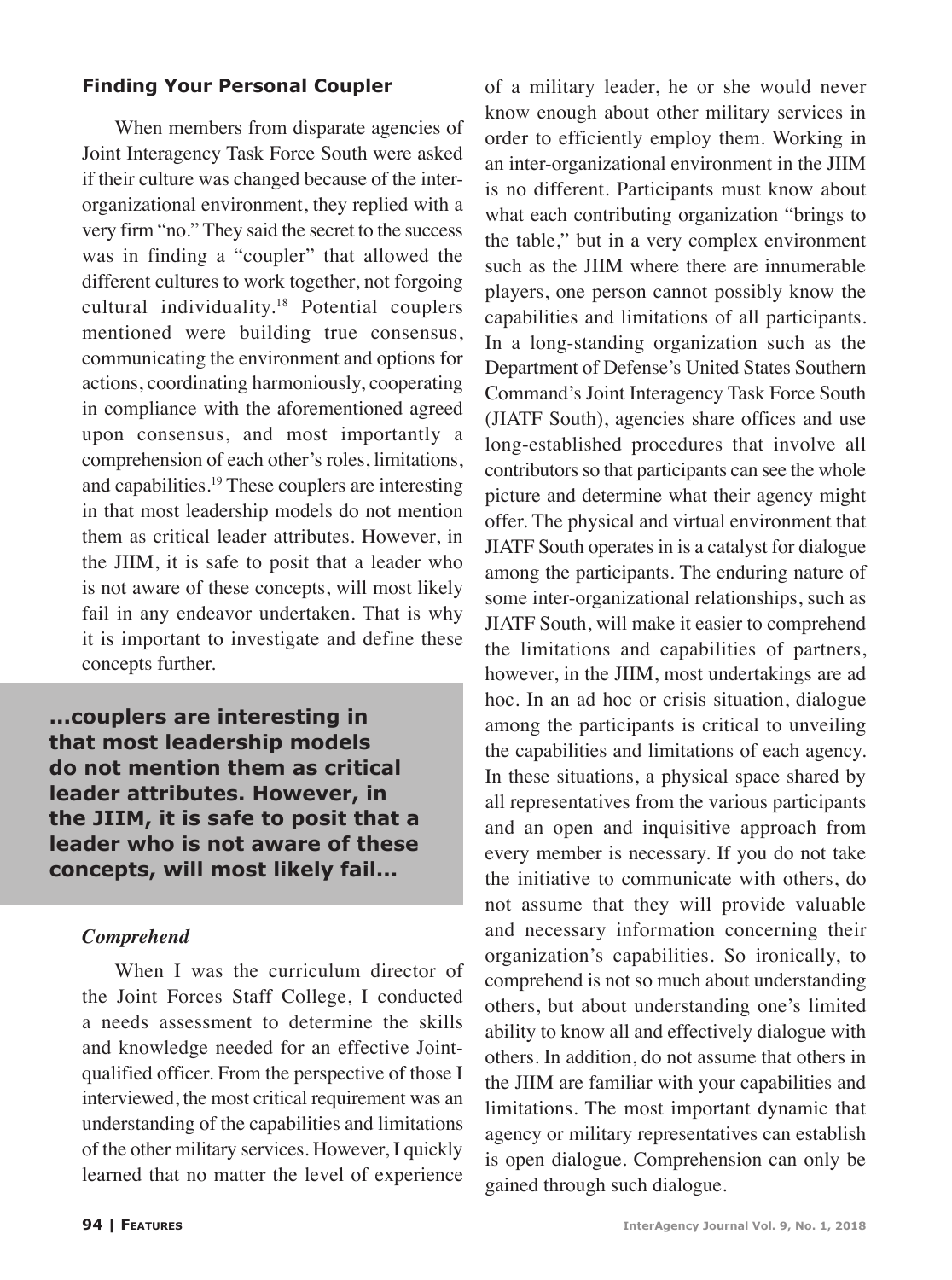#### **Finding Your Personal Coupler**

When members from disparate agencies of Joint Interagency Task Force South were asked if their culture was changed because of the interorganizational environment, they replied with a very firm "no." They said the secret to the success was in finding a "coupler" that allowed the different cultures to work together, not forgoing cultural individuality.18 Potential couplers mentioned were building true consensus, communicating the environment and options for actions, coordinating harmoniously, cooperating in compliance with the aforementioned agreed upon consensus, and most importantly a comprehension of each other's roles, limitations, and capabilities.19 These couplers are interesting in that most leadership models do not mention them as critical leader attributes. However, in the JIIM, it is safe to posit that a leader who is not aware of these concepts, will most likely fail in any endeavor undertaken. That is why it is important to investigate and define these concepts further.

**...couplers are interesting in that most leadership models do not mention them as critical leader attributes. However, in the JIIM, it is safe to posit that a leader who is not aware of these concepts, will most likely fail...**

#### *Comprehend*

When I was the curriculum director of the Joint Forces Staff College, I conducted a needs assessment to determine the skills and knowledge needed for an effective Jointqualified officer. From the perspective of those I interviewed, the most critical requirement was an understanding of the capabilities and limitations of the other military services. However, I quickly learned that no matter the level of experience

of a military leader, he or she would never know enough about other military services in order to efficiently employ them. Working in an inter-organizational environment in the JIIM is no different. Participants must know about what each contributing organization "brings to the table," but in a very complex environment such as the JIIM where there are innumerable players, one person cannot possibly know the capabilities and limitations of all participants. In a long-standing organization such as the Department of Defense's United States Southern Command's Joint Interagency Task Force South (JIATF South), agencies share offices and use long-established procedures that involve all contributors so that participants can see the whole picture and determine what their agency might offer. The physical and virtual environment that JIATF South operates in is a catalyst for dialogue among the participants. The enduring nature of some inter-organizational relationships, such as JIATF South, will make it easier to comprehend the limitations and capabilities of partners, however, in the JIIM, most undertakings are ad hoc. In an ad hoc or crisis situation, dialogue among the participants is critical to unveiling the capabilities and limitations of each agency. In these situations, a physical space shared by all representatives from the various participants and an open and inquisitive approach from every member is necessary. If you do not take the initiative to communicate with others, do not assume that they will provide valuable and necessary information concerning their organization's capabilities. So ironically, to comprehend is not so much about understanding others, but about understanding one's limited ability to know all and effectively dialogue with others. In addition, do not assume that others in the JIIM are familiar with your capabilities and limitations. The most important dynamic that agency or military representatives can establish is open dialogue. Comprehension can only be gained through such dialogue.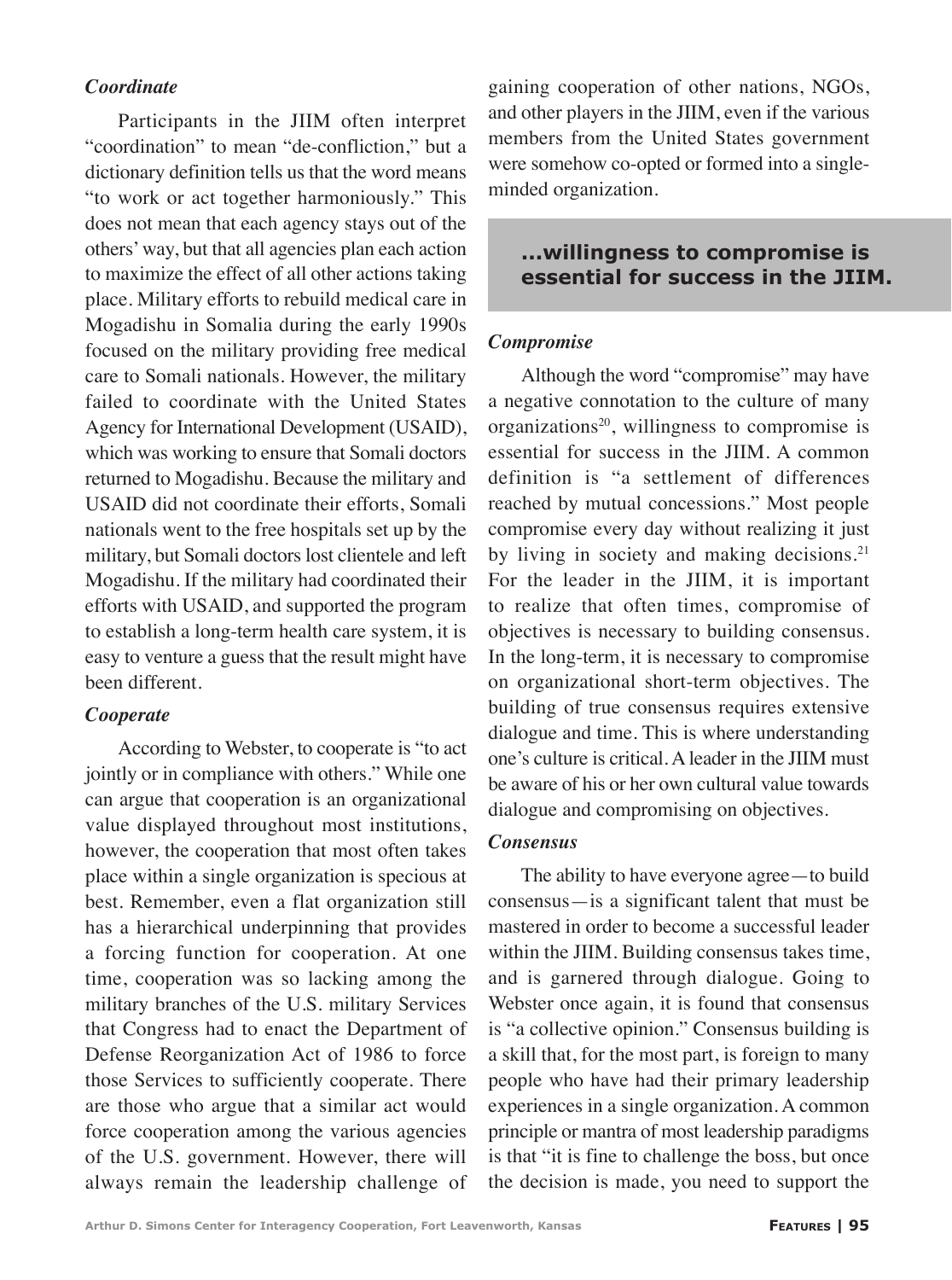#### *Coordinate*

Participants in the JIIM often interpret "coordination" to mean "de-confliction," but a dictionary definition tells us that the word means "to work or act together harmoniously." This does not mean that each agency stays out of the others' way, but that all agencies plan each action to maximize the effect of all other actions taking place. Military efforts to rebuild medical care in Mogadishu in Somalia during the early 1990s focused on the military providing free medical care to Somali nationals. However, the military failed to coordinate with the United States Agency for International Development (USAID), which was working to ensure that Somali doctors returned to Mogadishu. Because the military and USAID did not coordinate their efforts, Somali nationals went to the free hospitals set up by the military, but Somali doctors lost clientele and left Mogadishu. If the military had coordinated their efforts with USAID, and supported the program to establish a long-term health care system, it is easy to venture a guess that the result might have been different.

#### *Cooperate*

According to Webster, to cooperate is "to act jointly or in compliance with others." While one can argue that cooperation is an organizational value displayed throughout most institutions, however, the cooperation that most often takes place within a single organization is specious at best. Remember, even a flat organization still has a hierarchical underpinning that provides a forcing function for cooperation. At one time, cooperation was so lacking among the military branches of the U.S. military Services that Congress had to enact the Department of Defense Reorganization Act of 1986 to force those Services to sufficiently cooperate. There are those who argue that a similar act would force cooperation among the various agencies of the U.S. government. However, there will always remain the leadership challenge of gaining cooperation of other nations, NGOs, and other players in the JIIM, even if the various members from the United States government were somehow co-opted or formed into a singleminded organization.

### **...willingness to compromise is essential for success in the JIIM.**

#### *Compromise*

Although the word "compromise" may have a negative connotation to the culture of many organizations<sup>20</sup>, willingness to compromise is essential for success in the JIIM. A common definition is "a settlement of differences reached by mutual concessions." Most people compromise every day without realizing it just by living in society and making decisions.<sup>21</sup> For the leader in the JIIM, it is important to realize that often times, compromise of objectives is necessary to building consensus. In the long-term, it is necessary to compromise on organizational short-term objectives. The building of true consensus requires extensive dialogue and time. This is where understanding one's culture is critical. A leader in the JIIM must be aware of his or her own cultural value towards dialogue and compromising on objectives.

#### *Consensus*

The ability to have everyone agree—to build consensus—is a significant talent that must be mastered in order to become a successful leader within the JIIM. Building consensus takes time, and is garnered through dialogue. Going to Webster once again, it is found that consensus is "a collective opinion." Consensus building is a skill that, for the most part, is foreign to many people who have had their primary leadership experiences in a single organization. A common principle or mantra of most leadership paradigms is that "it is fine to challenge the boss, but once the decision is made, you need to support the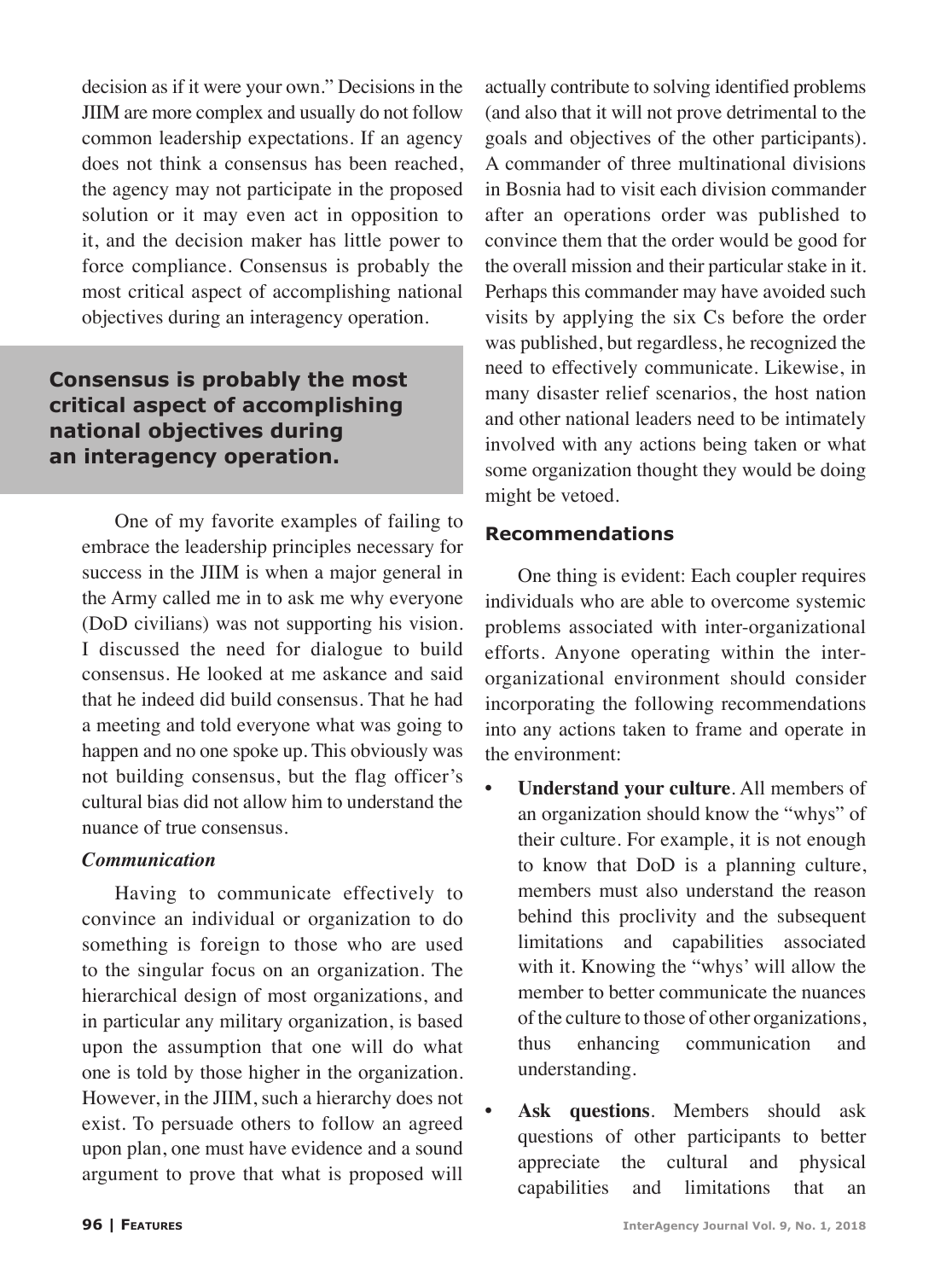decision as if it were your own." Decisions in the JIIM are more complex and usually do not follow common leadership expectations. If an agency does not think a consensus has been reached, the agency may not participate in the proposed solution or it may even act in opposition to it, and the decision maker has little power to force compliance. Consensus is probably the most critical aspect of accomplishing national objectives during an interagency operation.

## **Consensus is probably the most critical aspect of accomplishing national objectives during an interagency operation.**

One of my favorite examples of failing to embrace the leadership principles necessary for success in the JIIM is when a major general in the Army called me in to ask me why everyone (DoD civilians) was not supporting his vision. I discussed the need for dialogue to build consensus. He looked at me askance and said that he indeed did build consensus. That he had a meeting and told everyone what was going to happen and no one spoke up. This obviously was not building consensus, but the flag officer's cultural bias did not allow him to understand the nuance of true consensus.

#### *Communication*

Having to communicate effectively to convince an individual or organization to do something is foreign to those who are used to the singular focus on an organization. The hierarchical design of most organizations, and in particular any military organization, is based upon the assumption that one will do what one is told by those higher in the organization. However, in the JIIM, such a hierarchy does not exist. To persuade others to follow an agreed upon plan, one must have evidence and a sound argument to prove that what is proposed will

actually contribute to solving identified problems (and also that it will not prove detrimental to the goals and objectives of the other participants). A commander of three multinational divisions in Bosnia had to visit each division commander after an operations order was published to convince them that the order would be good for the overall mission and their particular stake in it. Perhaps this commander may have avoided such visits by applying the six Cs before the order was published, but regardless, he recognized the need to effectively communicate. Likewise, in many disaster relief scenarios, the host nation and other national leaders need to be intimately involved with any actions being taken or what some organization thought they would be doing might be vetoed.

## **Recommendations**

One thing is evident: Each coupler requires individuals who are able to overcome systemic problems associated with inter-organizational efforts. Anyone operating within the interorganizational environment should consider incorporating the following recommendations into any actions taken to frame and operate in the environment:

- **• Understand your culture**. All members of an organization should know the "whys" of their culture. For example, it is not enough to know that DoD is a planning culture, members must also understand the reason behind this proclivity and the subsequent limitations and capabilities associated with it. Knowing the "whys' will allow the member to better communicate the nuances of the culture to those of other organizations, thus enhancing communication and understanding.
- Ask questions. Members should ask questions of other participants to better appreciate the cultural and physical capabilities and limitations that an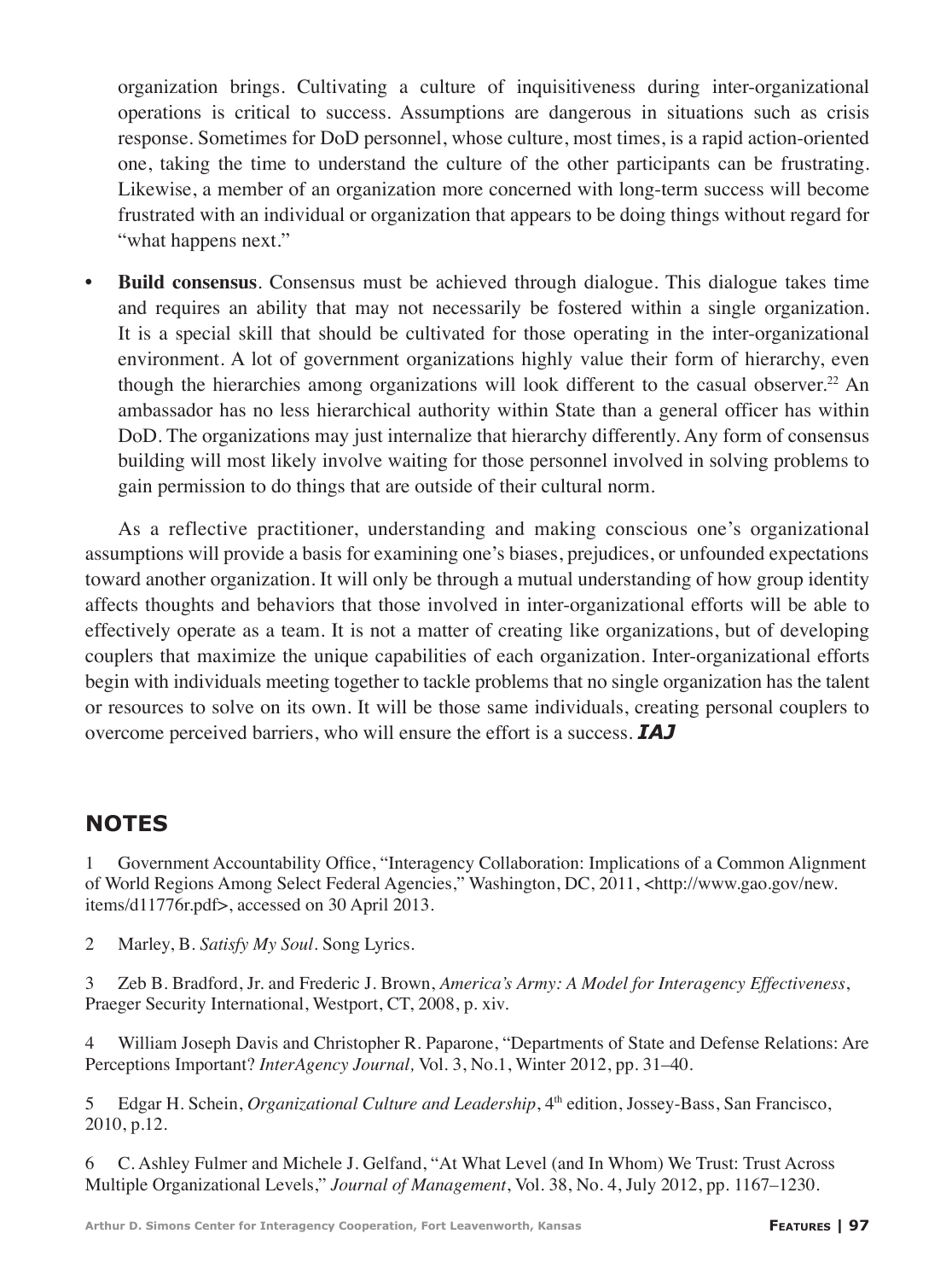organization brings. Cultivating a culture of inquisitiveness during inter-organizational operations is critical to success. Assumptions are dangerous in situations such as crisis response. Sometimes for DoD personnel, whose culture, most times, is a rapid action-oriented one, taking the time to understand the culture of the other participants can be frustrating. Likewise, a member of an organization more concerned with long-term success will become frustrated with an individual or organization that appears to be doing things without regard for "what happens next."

**Build consensus**. Consensus must be achieved through dialogue. This dialogue takes time and requires an ability that may not necessarily be fostered within a single organization. It is a special skill that should be cultivated for those operating in the inter-organizational environment. A lot of government organizations highly value their form of hierarchy, even though the hierarchies among organizations will look different to the casual observer.<sup>22</sup> An ambassador has no less hierarchical authority within State than a general officer has within DoD. The organizations may just internalize that hierarchy differently. Any form of consensus building will most likely involve waiting for those personnel involved in solving problems to gain permission to do things that are outside of their cultural norm.

As a reflective practitioner, understanding and making conscious one's organizational assumptions will provide a basis for examining one's biases, prejudices, or unfounded expectations toward another organization. It will only be through a mutual understanding of how group identity affects thoughts and behaviors that those involved in inter-organizational efforts will be able to effectively operate as a team. It is not a matter of creating like organizations, but of developing couplers that maximize the unique capabilities of each organization. Inter-organizational efforts begin with individuals meeting together to tackle problems that no single organization has the talent or resources to solve on its own. It will be those same individuals, creating personal couplers to overcome perceived barriers, who will ensure the effort is a success. *IAJ*

# **NOTES**

1 Government Accountability Office, "Interagency Collaboration: Implications of a Common Alignment of World Regions Among Select Federal Agencies," Washington, DC, 2011, <http://www.gao.gov/new. items/d11776r.pdf>, accessed on 30 April 2013.

2 Marley, B. *Satisfy My Soul*. Song Lyrics.

3 Zeb B. Bradford, Jr. and Frederic J. Brown, *America's Army: A Model for Interagency Effectiveness*, Praeger Security International, Westport, CT, 2008, p. xiv.

4 William Joseph Davis and Christopher R. Paparone, "Departments of State and Defense Relations: Are Perceptions Important? *InterAgency Journal,* Vol. 3, No.1, Winter 2012, pp. 31–40.

5 Edgar H. Schein, *Organizational Culture and Leadership*, 4th edition, Jossey-Bass, San Francisco, 2010, p.12.

6 C. Ashley Fulmer and Michele J. Gelfand, "At What Level (and In Whom) We Trust: Trust Across Multiple Organizational Levels," *Journal of Management*, Vol. 38, No. 4, July 2012, pp. 1167–1230.